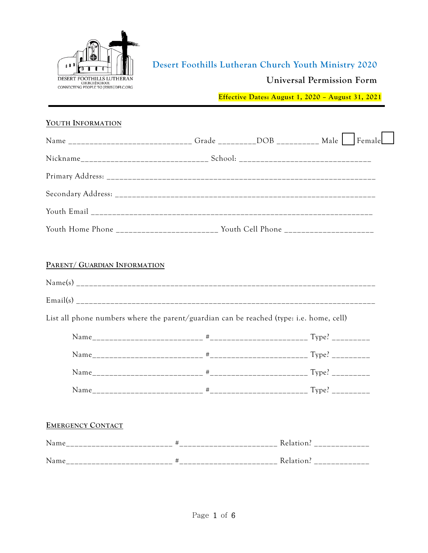

# **Desert Foothills Lutheran Church Youth Ministry 2020**

### **Universal Permission Form**

**Effective Dates: August 1, 2020 – August 31, 2021**

### **YOUTH INFORMATION**

| Name ______________________________Grade __________DOB ___________ Male _________ Female |  |  |
|------------------------------------------------------------------------------------------|--|--|
|                                                                                          |  |  |
|                                                                                          |  |  |
|                                                                                          |  |  |
|                                                                                          |  |  |
| Youth Home Phone _________________________ Youth Cell Phone ____________________         |  |  |
|                                                                                          |  |  |
| PARENT/ GUARDIAN INFORMATION                                                             |  |  |
|                                                                                          |  |  |
|                                                                                          |  |  |
| List all phone numbers where the parent/guardian can be reached (type: i.e. home, cell)  |  |  |
|                                                                                          |  |  |
|                                                                                          |  |  |
|                                                                                          |  |  |
|                                                                                          |  |  |
|                                                                                          |  |  |
| <b>EMERGENCY CONTACT</b>                                                                 |  |  |
|                                                                                          |  |  |
|                                                                                          |  |  |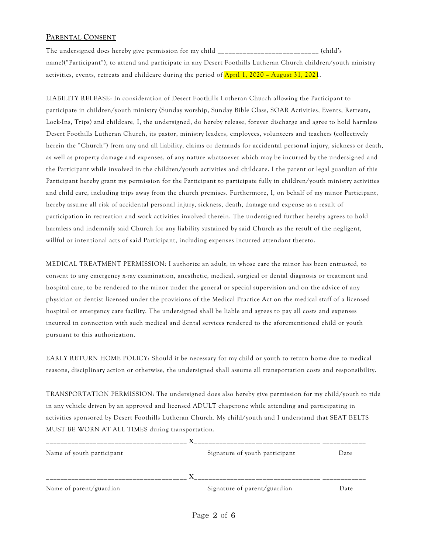### **PARENTAL CONSENT**

The undersigned does hereby give permission for my child \_\_\_\_\_\_\_\_\_\_\_\_\_\_\_\_\_\_\_\_\_\_\_\_\_\_\_\_\_\_ (child's name)("Participant"), to attend and participate in any Desert Foothills Lutheran Church children/youth ministry activities, events, retreats and childcare during the period of April 1, 2020 – August 31, 2021.

LIABILITY RELEASE: In consideration of Desert Foothills Lutheran Church allowing the Participant to participate in children/youth ministry (Sunday worship, Sunday Bible Class, SOAR Activities, Events, Retreats, Lock-Ins, Trips) and childcare, I, the undersigned, do hereby release, forever discharge and agree to hold harmless Desert Foothills Lutheran Church, its pastor, ministry leaders, employees, volunteers and teachers (collectively herein the "Church") from any and all liability, claims or demands for accidental personal injury, sickness or death, as well as property damage and expenses, of any nature whatsoever which may be incurred by the undersigned and the Participant while involved in the children/youth activities and childcare. I the parent or legal guardian of this Participant hereby grant my permission for the Participant to participate fully in children/youth ministry activities and child care, including trips away from the church premises. Furthermore, I, on behalf of my minor Participant, hereby assume all risk of accidental personal injury, sickness, death, damage and expense as a result of participation in recreation and work activities involved therein. The undersigned further hereby agrees to hold harmless and indemnify said Church for any liability sustained by said Church as the result of the negligent, willful or intentional acts of said Participant, including expenses incurred attendant thereto.

MEDICAL TREATMENT PERMISSION: I authorize an adult, in whose care the minor has been entrusted, to consent to any emergency x-ray examination, anesthetic, medical, surgical or dental diagnosis or treatment and hospital care, to be rendered to the minor under the general or special supervision and on the advice of any physician or dentist licensed under the provisions of the Medical Practice Act on the medical staff of a licensed hospital or emergency care facility. The undersigned shall be liable and agrees to pay all costs and expenses incurred in connection with such medical and dental services rendered to the aforementioned child or youth pursuant to this authorization.

EARLY RETURN HOME POLICY: Should it be necessary for my child or youth to return home due to medical reasons, disciplinary action or otherwise, the undersigned shall assume all transportation costs and responsibility.

TRANSPORTATION PERMISSION: The undersigned does also hereby give permission for my child/youth to ride in any vehicle driven by an approved and licensed ADULT chaperone while attending and participating in activities sponsored by Desert Foothills Lutheran Church. My child/youth and I understand that SEAT BELTS MUST BE WORN AT ALL TIMES during transportation.

|                              | Date |
|------------------------------|------|
| Signature of parent/guardian | Date |
|                              |      |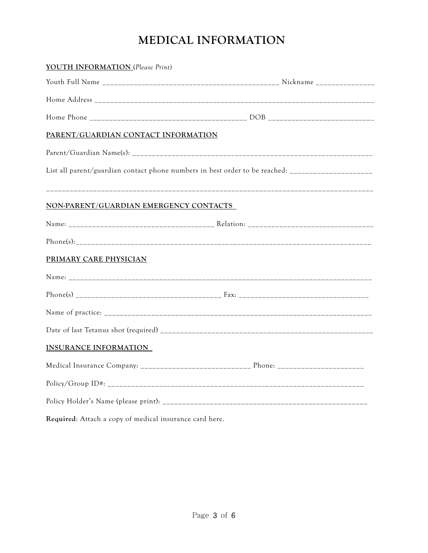# **MEDICAL INFORMATION**

| YOUTH INFORMATION (Please Print)                        |                                                                                                    |
|---------------------------------------------------------|----------------------------------------------------------------------------------------------------|
|                                                         |                                                                                                    |
|                                                         |                                                                                                    |
|                                                         |                                                                                                    |
| PARENT/GUARDIAN CONTACT INFORMATION                     |                                                                                                    |
|                                                         |                                                                                                    |
|                                                         | List all parent/guardian contact phone numbers in best order to be reached: ______________________ |
| NON-PARENT/GUARDIAN EMERGENCY CONTACTS                  |                                                                                                    |
|                                                         |                                                                                                    |
|                                                         |                                                                                                    |
| PRIMARY CARE PHYSICIAN                                  |                                                                                                    |
|                                                         |                                                                                                    |
|                                                         |                                                                                                    |
|                                                         |                                                                                                    |
|                                                         |                                                                                                    |
| <b>INSURANCE INFORMATION</b>                            |                                                                                                    |
|                                                         |                                                                                                    |
|                                                         |                                                                                                    |
|                                                         |                                                                                                    |
| Required: Attach a copy of medical insurance card here. |                                                                                                    |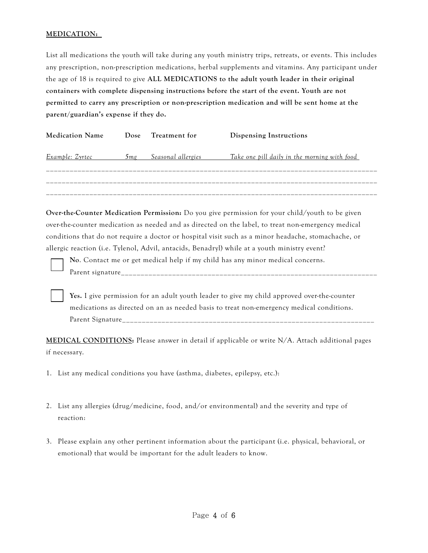### **MEDICATION:**

List all medications the youth will take during any youth ministry trips, retreats, or events. This includes any prescription, non-prescription medications, herbal supplements and vitamins. Any participant under the age of 18 is required to give **ALL MEDICATIONS to the adult youth leader in their original containers with complete dispensing instructions before the start of the event. Youth are not permitted to carry any prescription or non-prescription medication and will be sent home at the parent/guardian's expense if they do.** 

| <b>Medication Name</b> | Dose            | Treatment for      | Dispensing Instructions                      |
|------------------------|-----------------|--------------------|----------------------------------------------|
| Example: Zyrtec        | 5 <sub>mg</sub> | Seasonal allergies | Take one pill daily in the morning with food |
|                        |                 |                    |                                              |
|                        |                 |                    |                                              |
|                        |                 |                    |                                              |

**Over-the-Counter Medication Permission:** Do you give permission for your child/youth to be given over-the-counter medication as needed and as directed on the label, to treat non-emergency medical conditions that do not require a doctor or hospital visit such as a minor headache, stomachache, or allergic reaction (i.e. Tylenol, Advil, antacids, Benadryl) while at a youth ministry event?

**No**. Contact me or get medical help if my child has any minor medical concerns. Parent signature

**Yes.** I give permission for an adult youth leader to give my child approved over-the-counter medications as directed on an as needed basis to treat non-emergency medical conditions. Parent Signature

**MEDICAL CONDITIONS:** Please answer in detail if applicable or write N/A. Attach additional pages if necessary.

- 1. List any medical conditions you have (asthma, diabetes, epilepsy, etc.):
- 2. List any allergies (drug/medicine, food, and/or environmental) and the severity and type of reaction:
- 3. Please explain any other pertinent information about the participant (i.e. physical, behavioral, or emotional) that would be important for the adult leaders to know.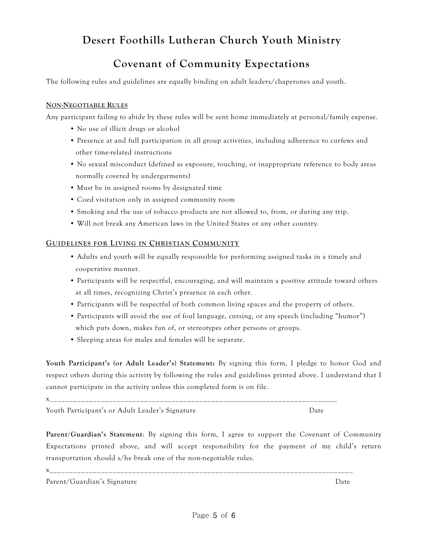# **Desert Foothills Lutheran Church Youth Ministry**

# **Covenant of Community Expectations**

The following rules and guidelines are equally binding on adult leaders/chaperones and youth.

### **NON-NEGOTIABLE RULES**

Any participant failing to abide by these rules will be sent home immediately at personal/family expense.

- No use of illicit drugs or alcohol
- Presence at and full participation in all group activities, including adherence to curfews and other time-related instructions
- No sexual misconduct (defined as exposure, touching, or inappropriate reference to body areas normally covered by undergarments)
- Must be in assigned rooms by designated time
- Coed visitation only in assigned community room
- Smoking and the use of tobacco products are not allowed to, from, or during any trip.
- Will not break any American laws in the United States or any other country.

#### **GUIDELINES FOR LIVING IN CHRISTIAN COMMUNITY**

- Adults and youth will be equally responsible for performing assigned tasks in a timely and cooperative manner.
- Participants will be respectful, encouraging, and will maintain a positive attitude toward others at all times, recognizing Christ's presence in each other.
- Participants will be respectful of both common living spaces and the property of others.
- Participants will avoid the use of foul language, cursing, or any speech (including "humor") which puts down, makes fun of, or stereotypes other persons or groups.
- Sleeping areas for males and females will be separate.

**Youth Participant's (or Adult Leader's) Statement:** By signing this form, I pledge to honor God and respect others during this activity by following the rules and guidelines printed above. I understand that I cannot participate in the activity unless this completed form is on file.

x\_\_\_\_\_\_\_\_\_\_\_\_\_\_\_\_\_\_\_\_\_\_\_\_\_\_\_\_\_\_\_\_\_\_\_\_\_\_\_\_\_\_\_\_\_\_\_\_\_\_\_\_\_\_\_\_\_\_\_\_\_\_\_\_\_\_\_\_\_\_\_\_\_ Youth Participant's or Adult Leader's Signature Theorem and Date

**Parent/Guardian's Statement**: By signing this form, I agree to support the Covenant of Community Expectations printed above, and will accept responsibility for the payment of my child's return transportation should s/he break one of the non-negotiable rules.

x\_\_\_\_\_\_\_\_\_\_\_\_\_\_\_\_\_\_\_\_\_\_\_\_\_\_\_\_\_\_\_\_\_\_\_\_\_\_\_\_\_\_\_\_\_\_\_\_\_\_\_\_\_\_\_\_\_\_\_\_\_\_\_\_\_\_\_\_\_\_\_\_\_\_\_\_\_

Parent/Guardian's Signature Date